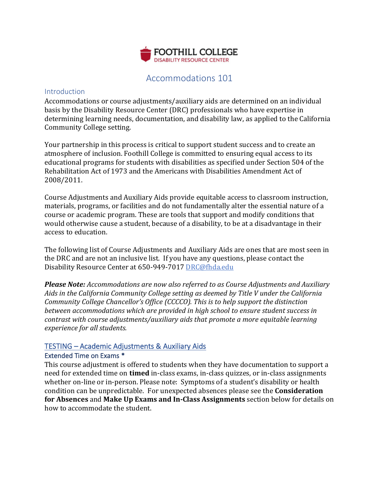

## Accommodations 101

## **Introduction**

Accommodations or course adjustments/auxiliary aids are determined on an individual basis by the Disability Resource Center (DRC) professionals who have expertise in determining learning needs, documentation, and disability law, as applied to the California Community College setting.

Your partnership in this process is critical to support student success and to create an atmosphere of inclusion. Foothill College is committed to ensuring equal access to its educational programs for students with disabilities as specified under Section 504 of the Rehabilitation Act of 1973 and the Americans with Disabilities Amendment Act of 2008/2011.

Course Adjustments and Auxiliary Aids provide equitable access to classroom instruction, materials, programs, or facilities and do not fundamentally alter the essential nature of a course or academic program. These are tools that support and modify conditions that would otherwise cause a student, because of a disability, to be at a disadvantage in their access to education.

The following list of Course Adjustments and Auxiliary Aids are ones that are most seen in the DRC and are not an inclusive list. If you have any questions, please contact the Disability Resource Center at 650-949-7017 DRC@fhda.edu

*Please Note: Accommodations are now also referred to as Course Adjustments and Auxiliary Aids in the California Community College setting as deemed by Title V under the California Community College Chancellor's Office (CCCCO). This is to help support the distinction between accommodations which are provided in high school to ensure student success in contrast with course adjustments/auxiliary aids that promote a more equitable learning experience for all students.*

## TESTING – Academic Adjustments & Auxiliary Aids

## Extended Time on Exams \*

This course adjustment is offered to students when they have documentation to support a need for extended time on **timed** in-class exams, in-class quizzes, or in-class assignments whether on-line or in-person. Please note: Symptoms of a student's disability or health condition can be unpredictable. For unexpected absences please see the **Consideration for Absences** and **Make Up Exams and In-Class Assignments** section below for details on how to accommodate the student.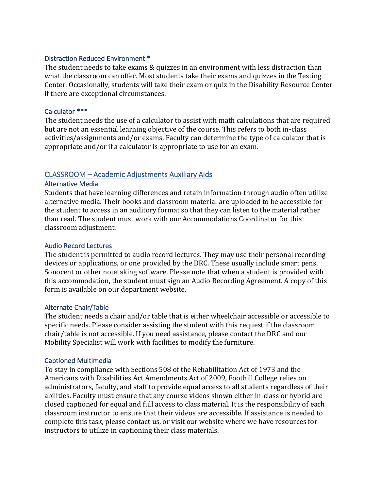## Distraction Reduced Environment \*

The student needs to take exams & quizzes in an environment with less distraction than what the classroom can offer. Most students take their exams and quizzes in the Testing Center. Occasionally, students will take their exam or quiz in the Disability Resource Center if there are exceptional circumstances.

## Calculator \*\*\*

The student needs the use of a calculator to assist with math calculations that are required but are not an essential learning objective of the course. This refers to both in-class activities/assignments and/or exams. Faculty can determine the type of calculator that is appropriate and/or if a calculator is appropriate to use for an exam.

## CLASSROOM – Academic Adjustments Auxiliary Aids

## Alternative Media

Students that have learning differences and retain information through audio often utilize alternative media. Their books and classroom material are uploaded to be accessible for the student to access in an auditory format so that they can listen to the material rather than read. The student must work with our Accommodations Coordinator for this classroom adjustment.

## Audio Record Lectures

The student is permitted to audio record lectures. They may use their personal recording devices or applications, or one provided by the DRC. These usually include smart pens, Sonocent or other notetaking software. Please note that when a student is provided with this accommodation, the student must sign an Audio Recording Agreement. A copy of this form is available on our department website.

## Alternate Chair/Table

The student needs a chair and/or table that is either wheelchair accessible or accessible to specific needs. Please consider assisting the student with this request if the classroom chair/table is not accessible. If you need assistance, please contact the DRC and our Mobility Specialist will work with facilities to modify the furniture.

#### Captioned Multimedia

To stay in compliance with Sections 508 of the Rehabilitation Act of 1973 and the Americans with Disabilities Act Amendments Act of 2009, Foothill College relies on administrators, faculty, and staff to provide equal access to all students regardless of their abilities. Faculty must ensure that any course videos shown either in-class or hybrid are closed captioned for equal and full access to class material. It is the responsibility of each classroom instructor to ensure that their videos are accessible. If assistance is needed to complete this task, please contact us, or visit our website where we have resources for instructors to utilize in captioning their class materials.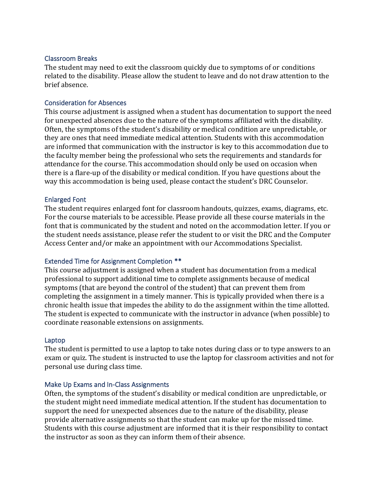## Classroom Breaks

The student may need to exit the classroom quickly due to symptoms of or conditions related to the disability. Please allow the student to leave and do not draw attention to the brief absence.

## Consideration for Absences

This course adjustment is assigned when a student has documentation to support the need for unexpected absences due to the nature of the symptoms affiliated with the disability. Often, the symptoms of the student's disability or medical condition are unpredictable, or they are ones that need immediate medical attention. Students with this accommodation are informed that communication with the instructor is key to this accommodation due to the faculty member being the professional who sets the requirements and standards for attendance for the course. This accommodation should only be used on occasion when there is a flare-up of the disability or medical condition. If you have questions about the way this accommodation is being used, please contact the student's DRC Counselor.

#### Enlarged Font

The student requires enlarged font for classroom handouts, quizzes, exams, diagrams, etc. For the course materials to be accessible. Please provide all these course materials in the font that is communicated by the student and noted on the accommodation letter. If you or the student needs assistance, please refer the student to or visit the DRC and the Computer Access Center and/or make an appointment with our Accommodations Specialist.

## Extended Time for Assignment Completion \*\*

This course adjustment is assigned when a student has documentation from a medical professional to support additional time to complete assignments because of medical symptoms (that are beyond the control of the student) that can prevent them from completing the assignment in a timely manner. This is typically provided when there is a chronic health issue that impedes the ability to do the assignment within the time allotted. The student is expected to communicate with the instructor in advance (when possible) to coordinate reasonable extensions on assignments.

#### Laptop

The student is permitted to use a laptop to take notes during class or to type answers to an exam or quiz. The student is instructed to use the laptop for classroom activities and not for personal use during class time.

#### Make Up Exams and In-Class Assignments

Often, the symptoms of the student's disability or medical condition are unpredictable, or the student might need immediate medical attention. If the student has documentation to support the need for unexpected absences due to the nature of the disability, please provide alternative assignments so that the student can make up for the missed time. Students with this course adjustment are informed that it is their responsibility to contact the instructor as soon as they can inform them of their absence.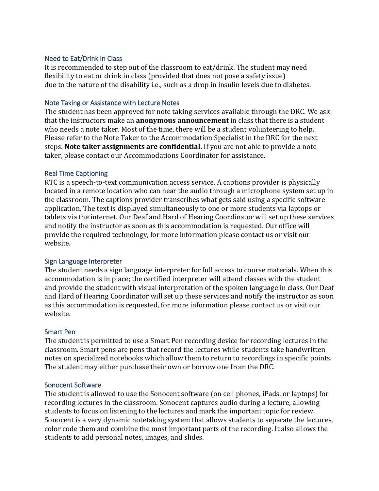## Need to Eat/Drink in Class

It is recommended to step out of the classroom to eat/drink. The student may need flexibility to eat or drink in class (provided that does not pose a safety issue) due to the nature of the disability i.e., such as a drop in insulin levels due to diabetes.

## Note Taking or Assistance with Lecture Notes

The student has been approved for note taking services available through the DRC. We ask that the instructors make an **anonymous announcement** in class that there is a student who needs a note taker. Most of the time, there will be a student volunteering to help. Please refer to the Note Taker to the Accommodation Specialist in the DRC for the next steps. **Note taker assignments are confidential.** If you are not able to provide a note taker, please contact our Accommodations Coordinator for assistance.

## Real Time Captioning

RTC is a speech-to-text communication access service. A captions provider is physically located in a remote location who can hear the audio through a microphone system set up in the classroom. The captions provider transcribes what gets said using a specific software application. The text is displayed simultaneously to one or more students via laptops or tablets via the internet. Our Deaf and Hard of Hearing Coordinator will set up these services and notify the instructor as soon as this accommodation is requested. Our office will provide the required technology, for more information please contact us or visit our website.

## Sign Language Interpreter

The student needs a sign language interpreter for full access to course materials. When this accommodation is in place; the certified interpreter will attend classes with the student and provide the student with visual interpretation of the spoken language in class. Our Deaf and Hard of Hearing Coordinator will set up these services and notify the instructor as soon as this accommodation is requested, for more information please contact us or visit our website.

## Smart Pen

The student is permitted to use a Smart Pen recording device for recording lectures in the classroom. Smart pens are pens that record the lectures while students take handwritten notes on specialized notebooks which allow them to return to recordings in specific points. The student may either purchase their own or borrow one from the DRC.

## Sonocent Software

The student is allowed to use the Sonocent software (on cell phones, iPads, or laptops) for recording lectures in the classroom. Sonocent captures audio during a lecture, allowing students to focus on listening to the lectures and mark the important topic for review. Sonocent is a very dynamic notetaking system that allows students to separate the lectures, color code them and combine the most important parts of the recording. It also allows the students to add personal notes, images, and slides.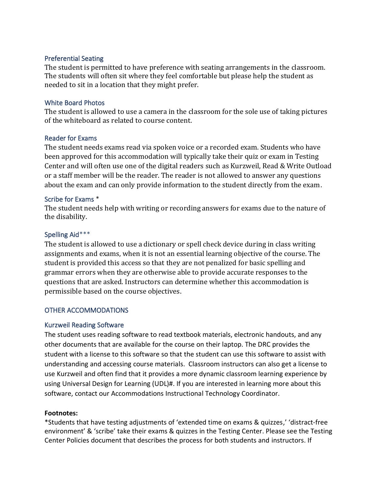## Preferential Seating

The student is permitted to have preference with seating arrangements in the classroom. The students will often sit where they feel comfortable but please help the student as needed to sit in a location that they might prefer.

## White Board Photos

The student is allowed to use a camera in the classroom for the sole use of taking pictures of the whiteboard as related to course content.

## Reader for Exams

The student needs exams read via spoken voice or a recorded exam. Students who have been approved for this accommodation will typically take their quiz or exam in Testing Center and will often use one of the digital readers such as Kurzweil, Read & Write Outload or a staff member will be the reader. The reader is not allowed to answer any questions about the exam and can only provide information to the student directly from the exam.

#### Scribe for Exams \*

The student needs help with writing or recording answers for exams due to the nature of the disability.

## Spelling Aid\*\*\*

The student is allowed to use a dictionary or spell check device during in class writing assignments and exams, when it is not an essential learning objective of the course. The student is provided this access so that they are not penalized for basic spelling and grammar errors when they are otherwise able to provide accurate responses to the questions that are asked. Instructors can determine whether this accommodation is permissible based on the course objectives.

## OTHER ACCOMMODATIONS

## Kurzweil Reading Software

The student uses reading software to read textbook materials, electronic handouts, and any other documents that are available for the course on their laptop. The DRC provides the student with a license to this software so that the student can use this software to assist with understanding and accessing course materials. Classroom instructors can also get a license to use Kurzweil and often find that it provides a more dynamic classroom learning experience by using Universal Design for Learning (UDL)#. If you are interested in learning more about this software, contact our Accommodations Instructional Technology Coordinator.

#### **Footnotes:**

\*Students that have testing adjustments of 'extended time on exams & quizzes,' 'distract-free environment' & 'scribe' take their exams & quizzes in the Testing Center. Please see the Testing Center Policies document that describes the process for both students and instructors. If